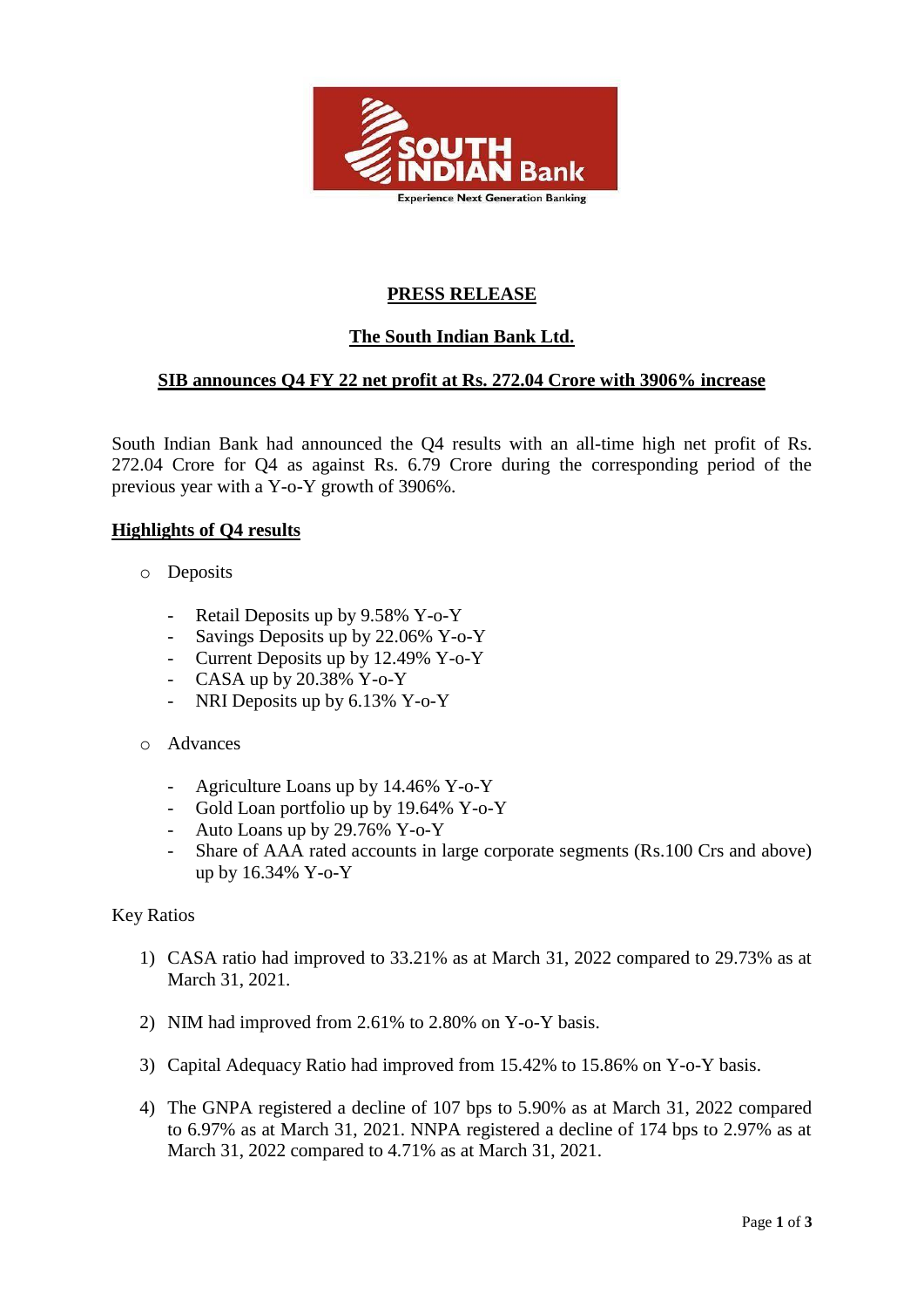

# **PRESS RELEASE**

# **The South Indian Bank Ltd.**

## **SIB announces Q4 FY 22 net profit at Rs. 272.04 Crore with 3906% increase**

South Indian Bank had announced the Q4 results with an all-time high net profit of Rs. 272.04 Crore for Q4 as against Rs. 6.79 Crore during the corresponding period of the previous year with a Y-o-Y growth of 3906%.

### **Highlights of Q4 results**

- o Deposits
	- Retail Deposits up by 9.58% Y-o-Y
	- Savings Deposits up by 22.06% Y-o-Y
	- Current Deposits up by 12.49% Y-o-Y
	- CASA up by 20.38% Y-o-Y
	- NRI Deposits up by 6.13% Y-o-Y
- o Advances
	- Agriculture Loans up by 14.46% Y-o-Y
	- Gold Loan portfolio up by 19.64% Y-o-Y
	- Auto Loans up by 29.76% Y-o-Y
	- Share of AAA rated accounts in large corporate segments (Rs.100 Crs and above) up by 16.34% Y-o-Y

#### Key Ratios

- 1) CASA ratio had improved to 33.21% as at March 31, 2022 compared to 29.73% as at March 31, 2021.
- 2) NIM had improved from 2.61% to 2.80% on Y-o-Y basis.
- 3) Capital Adequacy Ratio had improved from 15.42% to 15.86% on Y-o-Y basis.
- 4) The GNPA registered a decline of 107 bps to 5.90% as at March 31, 2022 compared to 6.97% as at March 31, 2021. NNPA registered a decline of 174 bps to 2.97% as at March 31, 2022 compared to 4.71% as at March 31, 2021.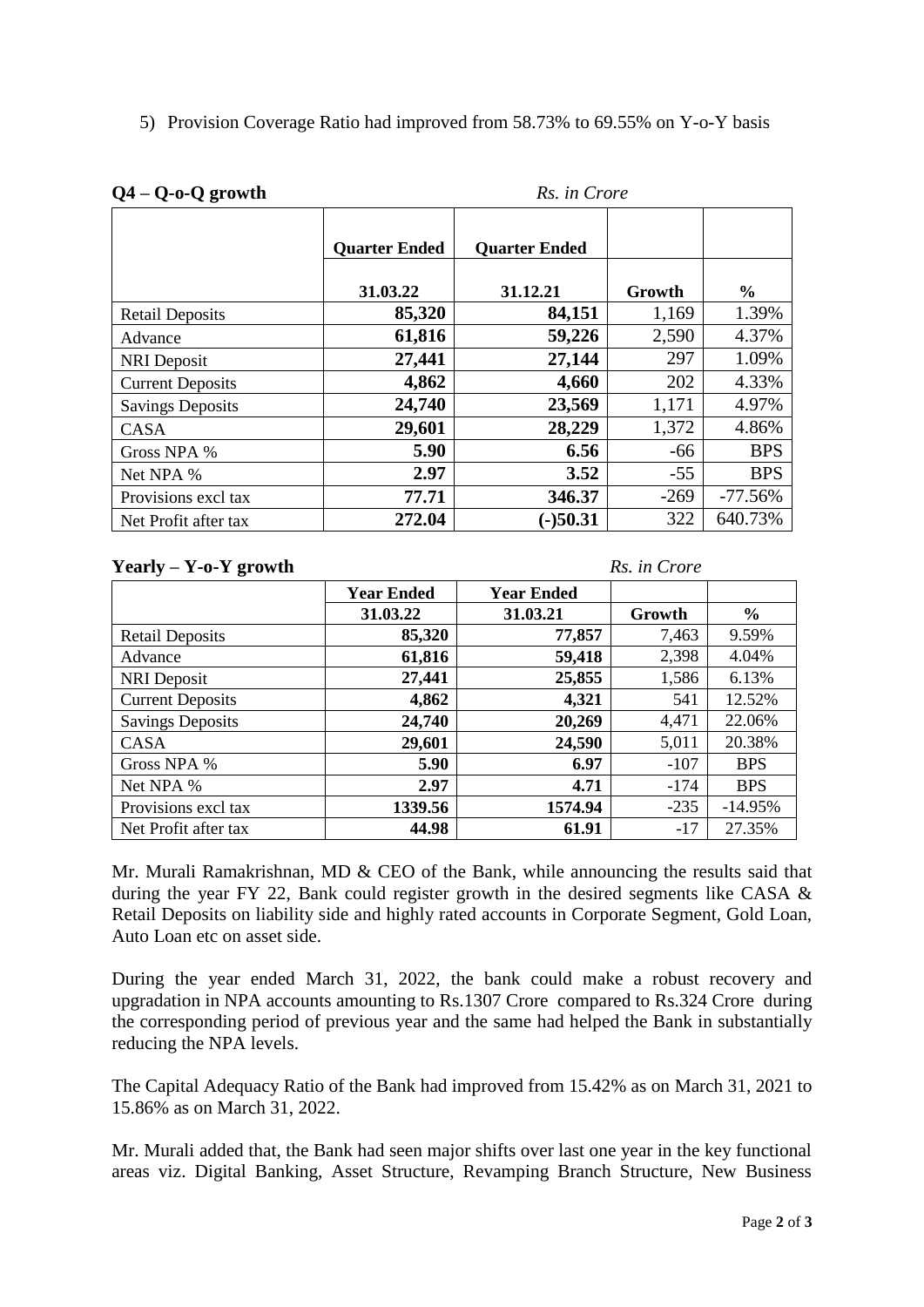5) Provision Coverage Ratio had improved from 58.73% to 69.55% on Y-o-Y basis

|                         | <b>Quarter Ended</b> | <b>Quarter Ended</b> |        |               |
|-------------------------|----------------------|----------------------|--------|---------------|
|                         | 31.03.22             | 31.12.21             | Growth | $\frac{6}{9}$ |
| <b>Retail Deposits</b>  | 85,320               | 84,151               | 1,169  | 1.39%         |
| Advance                 | 61,816               | 59,226               | 2,590  | 4.37%         |
| <b>NRI</b> Deposit      | 27,441               | 27,144               | 297    | 1.09%         |
| <b>Current Deposits</b> | 4,862                | 4,660                | 202    | 4.33%         |
| <b>Savings Deposits</b> | 24,740               | 23,569               | 1,171  | 4.97%         |
| CASA                    | 29,601               | 28,229               | 1,372  | 4.86%         |
| Gross NPA %             | 5.90                 | 6.56                 | $-66$  | <b>BPS</b>    |
| Net NPA %               | 2.97                 | 3.52                 | $-55$  | <b>BPS</b>    |
| Provisions excl tax     | 77.71                | 346.37               | $-269$ | $-77.56%$     |
| Net Profit after tax    | 272.04               | $(-)50.31$           | 322    | 640.73%       |

### **Q4 – Q-o-Q growth** *Rs. in Crore*

# **Yearly – Y-o-Y growth** *Rs. in Crore*

|                         | <b>Year Ended</b> | <b>Year Ended</b> |        |               |
|-------------------------|-------------------|-------------------|--------|---------------|
|                         | 31.03.22          | 31.03.21          | Growth | $\frac{6}{6}$ |
| <b>Retail Deposits</b>  | 85,320            | 77,857            | 7,463  | 9.59%         |
| Advance                 | 61,816            | 59,418            | 2,398  | 4.04%         |
| <b>NRI</b> Deposit      | 27,441            | 25,855            | 1,586  | 6.13%         |
| <b>Current Deposits</b> | 4,862             | 4,321             | 541    | 12.52%        |
| <b>Savings Deposits</b> | 24,740            | 20,269            | 4,471  | 22.06%        |
| CASA                    | 29,601            | 24,590            | 5,011  | 20.38%        |
| Gross NPA %             | 5.90              | 6.97              | $-107$ | <b>BPS</b>    |
| Net NPA %               | 2.97              | 4.71              | $-174$ | <b>BPS</b>    |
| Provisions excl tax     | 1339.56           | 1574.94           | $-235$ | $-14.95%$     |
| Net Profit after tax    | 44.98             | 61.91             | $-17$  | 27.35%        |

Mr. Murali Ramakrishnan, MD & CEO of the Bank, while announcing the results said that during the year FY 22, Bank could register growth in the desired segments like CASA & Retail Deposits on liability side and highly rated accounts in Corporate Segment, Gold Loan, Auto Loan etc on asset side.

During the year ended March 31, 2022, the bank could make a robust recovery and upgradation in NPA accounts amounting to Rs.1307 Crore compared to Rs.324 Crore during the corresponding period of previous year and the same had helped the Bank in substantially reducing the NPA levels.

The Capital Adequacy Ratio of the Bank had improved from 15.42% as on March 31, 2021 to 15.86% as on March 31, 2022.

Mr. Murali added that, the Bank had seen major shifts over last one year in the key functional areas viz. Digital Banking, Asset Structure, Revamping Branch Structure, New Business